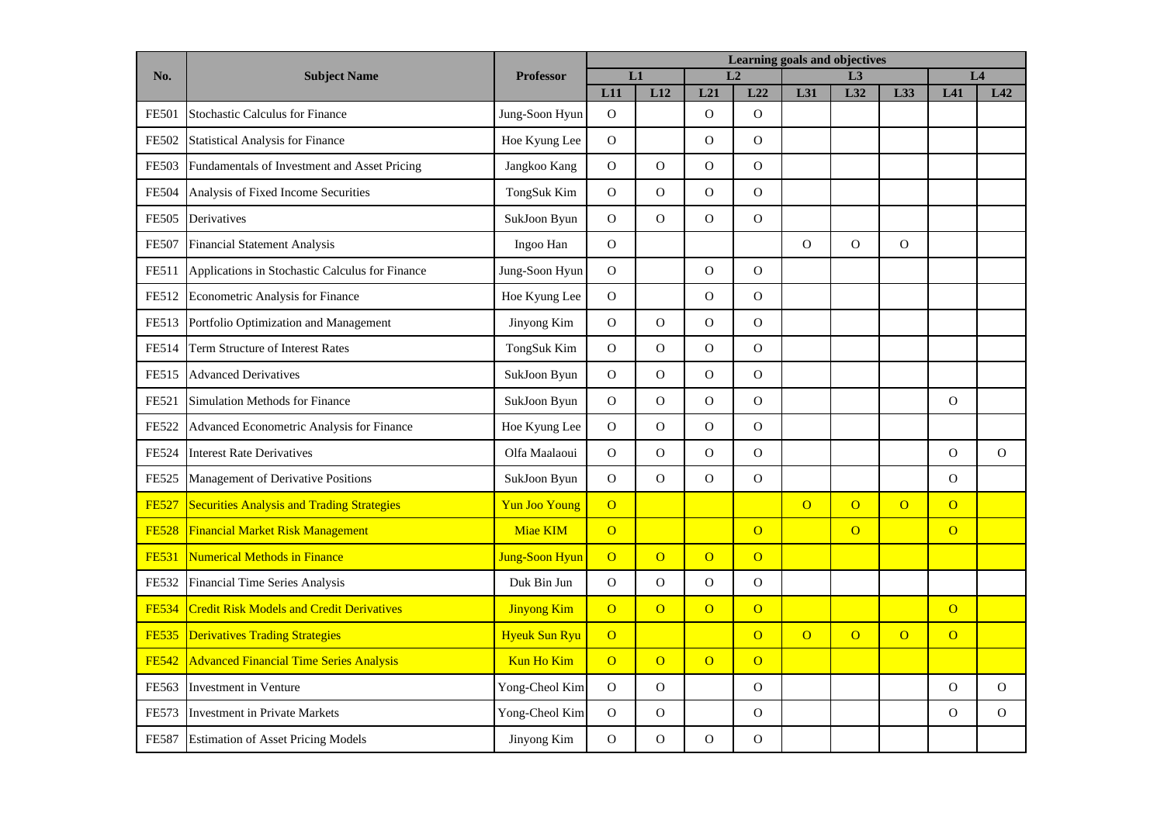| No.          | <b>Subject Name</b>                               | <b>Professor</b>      | Learning goals and objectives |                |                |                |                |                |                |                |              |  |
|--------------|---------------------------------------------------|-----------------------|-------------------------------|----------------|----------------|----------------|----------------|----------------|----------------|----------------|--------------|--|
|              |                                                   |                       | L1                            |                | L2             |                | L3             |                |                | L <sub>4</sub> |              |  |
|              |                                                   |                       | L11                           | L12            | L21            | L22            | L31            | L32            | L33            | L41            | L42          |  |
| <b>FE501</b> | <b>Stochastic Calculus for Finance</b>            | Jung-Soon Hyun        | $\Omega$                      |                | $\Omega$       | $\overline{O}$ |                |                |                |                |              |  |
| FE502        | <b>Statistical Analysis for Finance</b>           | Hoe Kyung Lee         | $\mathbf{O}$                  |                | $\mathbf O$    | $\overline{O}$ |                |                |                |                |              |  |
| <b>FE503</b> | Fundamentals of Investment and Asset Pricing      | Jangkoo Kang          | $\mathcal{O}$                 | $\mathcal{O}$  | $\mathbf{O}$   | $\mathbf 0$    |                |                |                |                |              |  |
| <b>FE504</b> | Analysis of Fixed Income Securities               | TongSuk Kim           | $\Omega$                      | $\mathbf O$    | $\mathbf{O}$   | $\rm{O}$       |                |                |                |                |              |  |
| <b>FE505</b> | Derivatives                                       | SukJoon Byun          | $\mathbf{O}$                  | $\overline{O}$ | $\mathbf{O}$   | $\overline{O}$ |                |                |                |                |              |  |
| <b>FE507</b> | <b>Financial Statement Analysis</b>               | Ingoo Han             | $\mathcal{O}$                 |                |                |                | $\mathbf O$    | $\overline{O}$ | $\mathbf O$    |                |              |  |
| FE511        | Applications in Stochastic Calculus for Finance   | Jung-Soon Hyun        | $\mathbf O$                   |                | $\mathbf O$    | $\mathbf O$    |                |                |                |                |              |  |
| FE512        | Econometric Analysis for Finance                  | Hoe Kyung Lee         | $\mathbf{O}$                  |                | $\mathbf{O}$   | $\mathbf{O}$   |                |                |                |                |              |  |
| FE513        | Portfolio Optimization and Management             | Jinyong Kim           | $\mathcal{O}$                 | $\overline{O}$ | $\mathbf O$    | $\overline{O}$ |                |                |                |                |              |  |
| FE514        | <b>Term Structure of Interest Rates</b>           | TongSuk Kim           | $\Omega$                      | $\overline{O}$ | $\Omega$       | $\Omega$       |                |                |                |                |              |  |
| FE515        | <b>Advanced Derivatives</b>                       | SukJoon Byun          | $\mathbf O$                   | $\overline{O}$ | $\mathbf{O}$   | $\mathbf O$    |                |                |                |                |              |  |
| FE521        | <b>Simulation Methods for Finance</b>             | SukJoon Byun          | $\mathcal{O}$                 | $\mathcal{O}$  | $\mathbf O$    | $\mathbf O$    |                |                |                | $\mathbf{O}$   |              |  |
| <b>FE522</b> | Advanced Econometric Analysis for Finance         | Hoe Kyung Lee         | $\mathbf O$                   | $\mathbf{O}$   | $\mathbf{O}$   | $\overline{O}$ |                |                |                |                |              |  |
| <b>FE524</b> | <b>Interest Rate Derivatives</b>                  | Olfa Maalaoui         | $\mathbf O$                   | $\mathbf{O}$   | $\mathbf O$    | $\overline{O}$ |                |                |                | $\mathbf O$    | $\Omega$     |  |
| <b>FE525</b> | Management of Derivative Positions                | SukJoon Byun          | $\mathbf{O}$                  | $\overline{O}$ | $\mathbf{O}$   | $\rm{O}$       |                |                |                | $\mathcal O$   |              |  |
| <b>FE527</b> | <b>Securities Analysis and Trading Strategies</b> | <b>Yun Joo Young</b>  | $\overline{O}$                |                |                |                | $\overline{O}$ | $\overline{O}$ | $\overline{O}$ | $\overline{O}$ |              |  |
| <b>FE528</b> | <b>Financial Market Risk Management</b>           | Miae KIM              | $\overline{O}$                |                |                | $\overline{O}$ |                | $\overline{O}$ |                | $\overline{O}$ |              |  |
| <b>FE531</b> | <b>Numerical Methods in Finance</b>               | <b>Jung-Soon Hyun</b> | $\overline{O}$                | $\overline{O}$ | $\overline{O}$ | $\overline{O}$ |                |                |                |                |              |  |
| FE532        | Financial Time Series Analysis                    | Duk Bin Jun           | $\mathbf O$                   | $\mathbf{O}$   | $\mathbf O$    | $\rm{O}$       |                |                |                |                |              |  |
| <b>FE534</b> | <b>Credit Risk Models and Credit Derivatives</b>  | <b>Jinyong Kim</b>    | $\overline{O}$                | $\overline{O}$ | $\overline{O}$ | $\overline{O}$ |                |                |                | $\overline{O}$ |              |  |
| <b>FE535</b> | <b>Derivatives Trading Strategies</b>             | <b>Hyeuk Sun Ryu</b>  | $\overline{O}$                |                |                | $\overline{O}$ | $\overline{O}$ | $\overline{O}$ | $\overline{O}$ | $\overline{O}$ |              |  |
| <b>FE542</b> | <b>Advanced Financial Time Series Analysis</b>    | <b>Kun Ho Kim</b>     | $\overline{O}$                | $\overline{O}$ | $\overline{O}$ | $\overline{O}$ |                |                |                |                |              |  |
| FE563        | <b>Investment</b> in Venture                      | Yong-Cheol Kim        | $\mathbf{O}$                  | $\mathcal{O}$  |                | $\mathbf O$    |                |                |                | $\mathbf{O}$   | $\mathbf{O}$ |  |
| FE573        | <b>Investment in Private Markets</b>              | Yong-Cheol Kim        | $\mathbf O$                   | $\overline{O}$ |                | $\overline{O}$ |                |                |                | $\overline{O}$ | $\mathbf{O}$ |  |
| <b>FE587</b> | <b>Estimation of Asset Pricing Models</b>         | Jinyong Kim           | $\mathbf O$                   | $\mathbf 0$    | $\mathcal{O}$  | $\mathbf 0$    |                |                |                |                |              |  |